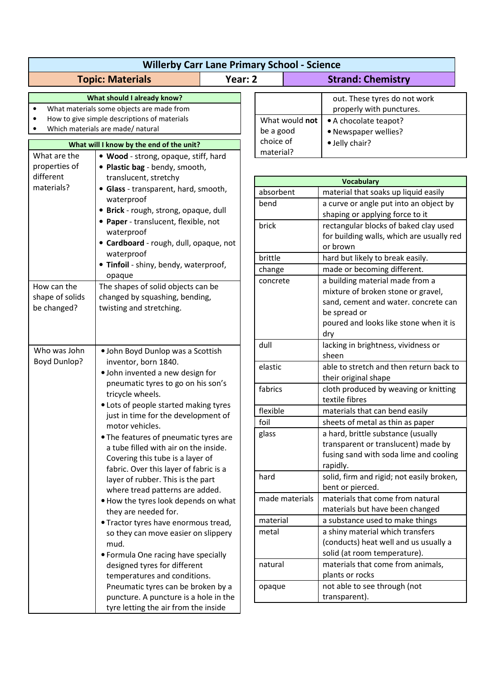|                                                                                                                                                                                     | <b>Topic: Materials</b>                                                                                                                                                                                                                                                                              | Year: 2 |                          |                |                                                                                                                                                                                |
|-------------------------------------------------------------------------------------------------------------------------------------------------------------------------------------|------------------------------------------------------------------------------------------------------------------------------------------------------------------------------------------------------------------------------------------------------------------------------------------------------|---------|--------------------------|----------------|--------------------------------------------------------------------------------------------------------------------------------------------------------------------------------|
|                                                                                                                                                                                     |                                                                                                                                                                                                                                                                                                      |         | <b>Strand: Chemistry</b> |                |                                                                                                                                                                                |
| What should I already know?<br>What materials some objects are made from<br>$\bullet$<br>How to give simple descriptions of materials<br>Which materials are made/ natural          |                                                                                                                                                                                                                                                                                                      |         | be a good                | What would not | out. These tyres do not work<br>properly with punctures.<br>• A chocolate teapot?<br>• Newspaper wellies?                                                                      |
| What will I know by the end of the unit?                                                                                                                                            |                                                                                                                                                                                                                                                                                                      |         | choice of                |                | · Jelly chair?                                                                                                                                                                 |
| What are the<br>. Wood - strong, opaque, stiff, hard<br>properties of<br>• Plastic bag - bendy, smooth,                                                                             |                                                                                                                                                                                                                                                                                                      |         | material?                |                |                                                                                                                                                                                |
| different<br>materials?                                                                                                                                                             | translucent, stretchy<br>• Glass - transparent, hard, smooth,<br>waterproof<br>· Brick - rough, strong, opaque, dull<br>• Paper - translucent, flexible, not<br>waterproof<br>• Cardboard - rough, dull, opaque, not<br>waterproof<br>· Tinfoil - shiny, bendy, waterproof,                          |         |                          |                | <b>Vocabulary</b>                                                                                                                                                              |
|                                                                                                                                                                                     |                                                                                                                                                                                                                                                                                                      |         | absorbent                |                | material that soaks up liquid easily                                                                                                                                           |
|                                                                                                                                                                                     |                                                                                                                                                                                                                                                                                                      |         | bend                     |                | a curve or angle put into an object by<br>shaping or applying force to it                                                                                                      |
|                                                                                                                                                                                     |                                                                                                                                                                                                                                                                                                      |         | brick                    |                | rectangular blocks of baked clay used<br>for building walls, which are usually red<br>or brown                                                                                 |
|                                                                                                                                                                                     |                                                                                                                                                                                                                                                                                                      |         | brittle                  |                | hard but likely to break easily.                                                                                                                                               |
|                                                                                                                                                                                     |                                                                                                                                                                                                                                                                                                      |         | change                   |                | made or becoming different.                                                                                                                                                    |
| How can the<br>shape of solids<br>be changed?                                                                                                                                       | opaque<br>The shapes of solid objects can be<br>changed by squashing, bending,<br>twisting and stretching.                                                                                                                                                                                           |         | concrete                 |                | a building material made from a<br>mixture of broken stone or gravel,<br>sand, cement and water. concrete can<br>be spread or<br>poured and looks like stone when it is<br>dry |
| Who was John                                                                                                                                                                        | · John Boyd Dunlop was a Scottish                                                                                                                                                                                                                                                                    |         | dull                     |                | lacking in brightness, vividness or<br>sheen                                                                                                                                   |
|                                                                                                                                                                                     | <b>Boyd Dunlop?</b><br>inventor, born 1840.<br>· John invented a new design for<br>pneumatic tyres to go on his son's<br>tricycle wheels.                                                                                                                                                            |         | elastic                  |                | able to stretch and then return back to<br>their original shape                                                                                                                |
|                                                                                                                                                                                     |                                                                                                                                                                                                                                                                                                      |         | fabrics                  |                | cloth produced by weaving or knitting<br>textile fibres                                                                                                                        |
|                                                                                                                                                                                     | • Lots of people started making tyres<br>just in time for the development of<br>motor vehicles.                                                                                                                                                                                                      |         | flexible                 |                | materials that can bend easily                                                                                                                                                 |
|                                                                                                                                                                                     |                                                                                                                                                                                                                                                                                                      |         | foil                     |                | sheets of metal as thin as paper                                                                                                                                               |
|                                                                                                                                                                                     | • The features of pneumatic tyres are<br>a tube filled with air on the inside.<br>Covering this tube is a layer of<br>fabric. Over this layer of fabric is a<br>layer of rubber. This is the part<br>where tread patterns are added.<br>. How the tyres look depends on what<br>they are needed for. |         | glass                    |                | a hard, brittle substance (usually<br>transparent or translucent) made by<br>fusing sand with soda lime and cooling<br>rapidly.                                                |
|                                                                                                                                                                                     |                                                                                                                                                                                                                                                                                                      |         | hard                     |                | solid, firm and rigid; not easily broken,<br>bent or pierced.                                                                                                                  |
|                                                                                                                                                                                     |                                                                                                                                                                                                                                                                                                      |         |                          | made materials | materials that come from natural<br>materials but have been changed                                                                                                            |
| • Tractor tyres have enormous tread,                                                                                                                                                |                                                                                                                                                                                                                                                                                                      |         | material                 |                | a substance used to make things                                                                                                                                                |
|                                                                                                                                                                                     | so they can move easier on slippery<br>mud.<br>• Formula One racing have specially                                                                                                                                                                                                                   |         | metal                    |                | a shiny material which transfers<br>(conducts) heat well and us usually a<br>solid (at room temperature).                                                                      |
| designed tyres for different<br>temperatures and conditions.<br>Pneumatic tyres can be broken by a<br>puncture. A puncture is a hole in the<br>tyre letting the air from the inside |                                                                                                                                                                                                                                                                                                      |         | natural                  |                | materials that come from animals,<br>plants or rocks                                                                                                                           |
|                                                                                                                                                                                     |                                                                                                                                                                                                                                                                                                      |         | opaque                   |                | not able to see through (not<br>transparent).                                                                                                                                  |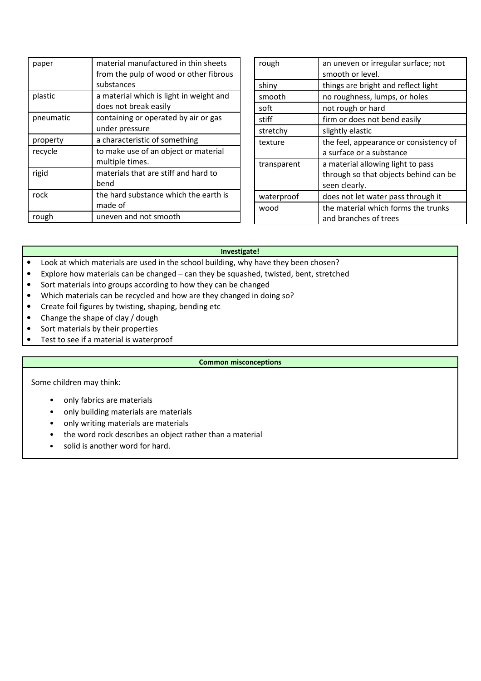| paper     | material manufactured in thin sheets<br>from the pulp of wood or other fibrous<br>substances |
|-----------|----------------------------------------------------------------------------------------------|
| plastic   | a material which is light in weight and<br>does not break easily                             |
| pneumatic | containing or operated by air or gas<br>under pressure                                       |
| property  | a characteristic of something                                                                |
| recycle   | to make use of an object or material<br>multiple times.                                      |
| rigid     | materials that are stiff and hard to<br>bend                                                 |
| rock      | the hard substance which the earth is<br>made of                                             |
| rough     | uneven and not smooth                                                                        |

| rough       | an uneven or irregular surface; not    |  |  |
|-------------|----------------------------------------|--|--|
|             | smooth or level.                       |  |  |
| shiny       | things are bright and reflect light    |  |  |
| smooth      | no roughness, lumps, or holes          |  |  |
| soft        | not rough or hard                      |  |  |
| stiff       | firm or does not bend easily           |  |  |
| stretchy    | slightly elastic                       |  |  |
| texture     | the feel, appearance or consistency of |  |  |
|             | a surface or a substance               |  |  |
| transparent | a material allowing light to pass      |  |  |
|             | through so that objects behind can be  |  |  |
|             | seen clearly.                          |  |  |
| waterproof  | does not let water pass through it     |  |  |
| wood        | the material which forms the trunks    |  |  |
|             | and branches of trees                  |  |  |

## **Investigate!**

- Look at which materials are used in the school building, why have they been chosen?
- Explore how materials can be changed can they be squashed, twisted, bent, stretched
- Sort materials into groups according to how they can be changed
- Which materials can be recycled and how are they changed in doing so?
- Create foil figures by twisting, shaping, bending etc
- Change the shape of clay / dough
- Sort materials by their properties
- Test to see if a material is waterproof

## **Common misconceptions**

Some children may think:

- only fabrics are materials
- only building materials are materials
- only writing materials are materials
- the word rock describes an object rather than a material
- solid is another word for hard.